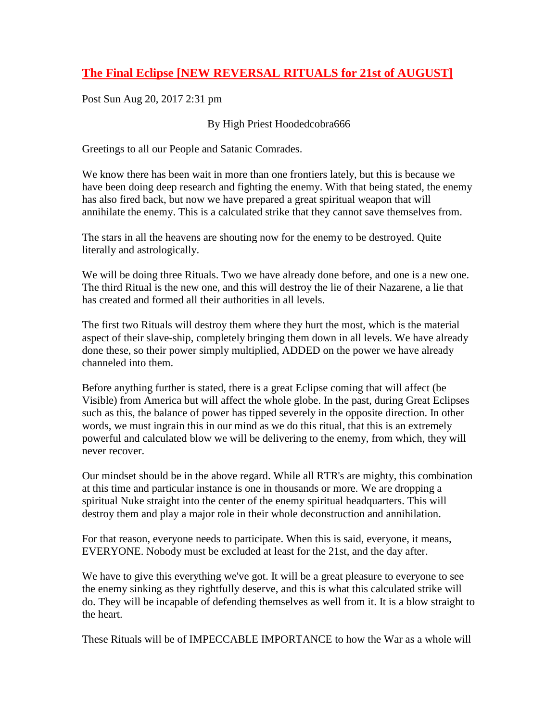## **The Final Eclipse [NEW REVERSAL RITUALS for 21st of AUGUST]**

Post Sun Aug 20, 2017 2:31 pm

## By High Priest Hoodedcobra666

Greetings to all our People and Satanic Comrades.

We know there has been wait in more than one frontiers lately, but this is because we have been doing deep research and fighting the enemy. With that being stated, the enemy has also fired back, but now we have prepared a great spiritual weapon that will annihilate the enemy. This is a calculated strike that they cannot save themselves from.

The stars in all the heavens are shouting now for the enemy to be destroyed. Quite literally and astrologically.

We will be doing three Rituals. Two we have already done before, and one is a new one. The third Ritual is the new one, and this will destroy the lie of their Nazarene, a lie that has created and formed all their authorities in all levels.

The first two Rituals will destroy them where they hurt the most, which is the material aspect of their slave-ship, completely bringing them down in all levels. We have already done these, so their power simply multiplied, ADDED on the power we have already channeled into them.

Before anything further is stated, there is a great Eclipse coming that will affect (be Visible) from America but will affect the whole globe. In the past, during Great Eclipses such as this, the balance of power has tipped severely in the opposite direction. In other words, we must ingrain this in our mind as we do this ritual, that this is an extremely powerful and calculated blow we will be delivering to the enemy, from which, they will never recover.

Our mindset should be in the above regard. While all RTR's are mighty, this combination at this time and particular instance is one in thousands or more. We are dropping a spiritual Nuke straight into the center of the enemy spiritual headquarters. This will destroy them and play a major role in their whole deconstruction and annihilation.

For that reason, everyone needs to participate. When this is said, everyone, it means, EVERYONE. Nobody must be excluded at least for the 21st, and the day after.

We have to give this everything we've got. It will be a great pleasure to everyone to see the enemy sinking as they rightfully deserve, and this is what this calculated strike will do. They will be incapable of defending themselves as well from it. It is a blow straight to the heart.

These Rituals will be of IMPECCABLE IMPORTANCE to how the War as a whole will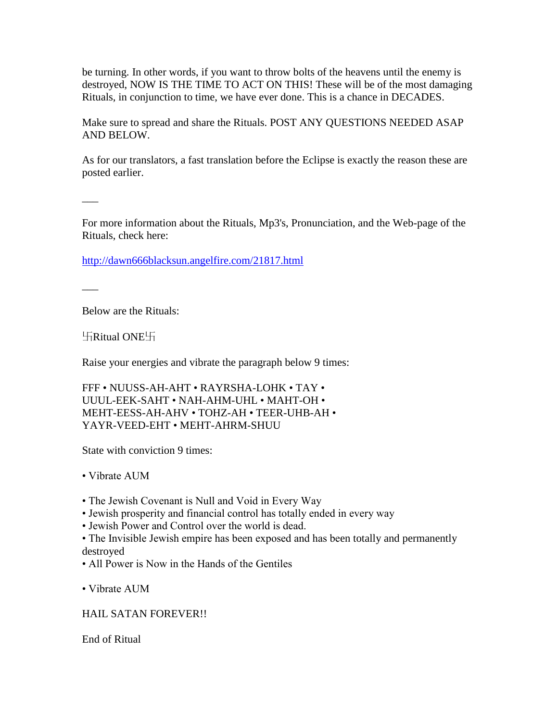be turning. In other words, if you want to throw bolts of the heavens until the enemy is destroyed, NOW IS THE TIME TO ACT ON THIS! These will be of the most damaging Rituals, in conjunction to time, we have ever done. This is a chance in DECADES.

Make sure to spread and share the Rituals. POST ANY QUESTIONS NEEDED ASAP AND BELOW.

As for our translators, a fast translation before the Eclipse is exactly the reason these are posted earlier.

 $\overline{\phantom{a}}$ 

 $\overline{\phantom{a}}$ 

For more information about the Rituals, Mp3's, Pronunciation, and the Web-page of the Rituals, check here:

<http://dawn666blacksun.angelfire.com/21817.html>

Below are the Rituals:

卐Ritual ONE卐

Raise your energies and vibrate the paragraph below 9 times:

FFF • NUUSS-AH-AHT • RAYRSHA-LOHK • TAY • UUUL-EEK-SAHT • NAH-AHM-UHL • MAHT-OH • MEHT-EESS-AH-AHV • TOHZ-AH • TEER-UHB-AH • YAYR-VEED-EHT • MEHT-AHRM-SHUU

State with conviction 9 times:

• Vibrate AUM

• The Jewish Covenant is Null and Void in Every Way

• Jewish prosperity and financial control has totally ended in every way

• Jewish Power and Control over the world is dead.

• The Invisible Jewish empire has been exposed and has been totally and permanently destroyed

• All Power is Now in the Hands of the Gentiles

• Vibrate AUM

HAIL SATAN FOREVER!!

End of Ritual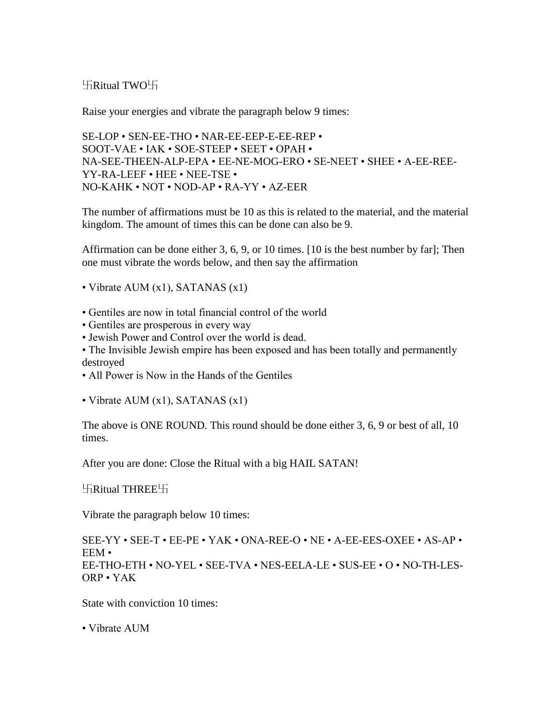卐Ritual TWO卐

Raise your energies and vibrate the paragraph below 9 times:

SE-LOP • SEN-EE-THO • NAR-EE-EEP-E-EE-REP • SOOT-VAE • IAK • SOE-STEEP • SEET • OPAH • NA-SEE-THEEN-ALP-EPA • EE-NE-MOG-ERO • SE-NEET • SHEE • A-EE-REE-YY-RA-LEEF • HEE • NEE-TSE • NO-KAHK • NOT • NOD-AP • RA-YY • AZ-EER

The number of affirmations must be 10 as this is related to the material, and the material kingdom. The amount of times this can be done can also be 9.

Affirmation can be done either 3, 6, 9, or 10 times. [10 is the best number by far]; Then one must vibrate the words below, and then say the affirmation

- Vibrate AUM (x1), SATANAS (x1)
- Gentiles are now in total financial control of the world
- Gentiles are prosperous in every way
- Jewish Power and Control over the world is dead.
- The Invisible Jewish empire has been exposed and has been totally and permanently destroyed
- All Power is Now in the Hands of the Gentiles
- Vibrate AUM (x1), SATANAS (x1)

The above is ONE ROUND. This round should be done either 3, 6, 9 or best of all, 10 times.

After you are done: Close the Ritual with a big HAIL SATAN!

卐Ritual THREE卐

Vibrate the paragraph below 10 times:

SEE-YY • SEE-T • EE-PE • YAK • ONA-REE-O • NE • A-EE-EES-OXEE • AS-AP • EEM • EE-THO-ETH • NO-YEL • SEE-TVA • NES-EELA-LE • SUS-EE • O • NO-TH-LES-ORP • YAK

State with conviction 10 times:

• Vibrate AUM